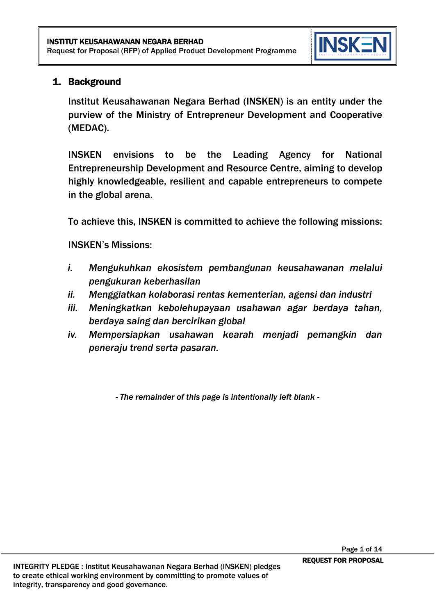

## 1. Background

Institut Keusahawanan Negara Berhad (INSKEN) is an entity under the purview of the Ministry of Entrepreneur Development and Cooperative (MEDAC).

INSKEN envisions to be the Leading Agency for National Entrepreneurship Development and Resource Centre, aiming to develop highly knowledgeable, resilient and capable entrepreneurs to compete in the global arena.

To achieve this, INSKEN is committed to achieve the following missions:

INSKEN's Missions:

- *i. Mengukuhkan ekosistem pembangunan keusahawanan melalui pengukuran keberhasilan*
- *ii. Menggiatkan kolaborasi rentas kementerian, agensi dan industri*
- *iii. Meningkatkan kebolehupayaan usahawan agar berdaya tahan, berdaya saing dan bercirikan global*
- *iv. Mempersiapkan usahawan kearah menjadi pemangkin dan peneraju trend serta pasaran.*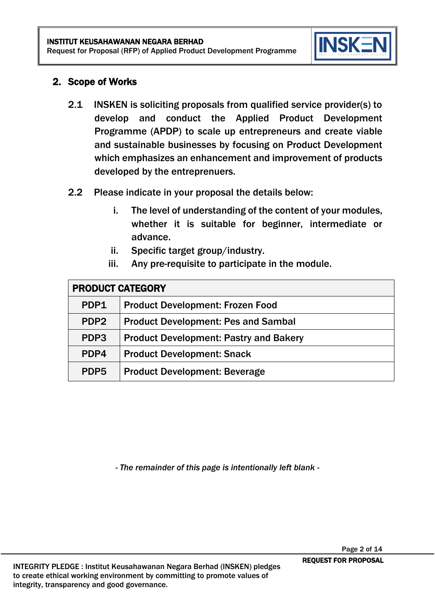

#### 2. Scope of Works

- 2.1 INSKEN is soliciting proposals from qualified service provider(s) to develop and conduct the Applied Product Development Programme (APDP) to scale up entrepreneurs and create viable and sustainable businesses by focusing on Product Development which emphasizes an enhancement and improvement of products developed by the entreprenuers.
- 2.2 Please indicate in your proposal the details below:
	- i. The level of understanding of the content of your modules, whether it is suitable for beginner, intermediate or advance.
	- ii. Specific target group/industry.
	- iii. Any pre-requisite to participate in the module.

| <b>PRODUCT CATEGORY</b> |                                               |  |
|-------------------------|-----------------------------------------------|--|
| PDP1                    | <b>Product Development: Frozen Food</b>       |  |
| PDP <sub>2</sub>        | <b>Product Development: Pes and Sambal</b>    |  |
| PDP3                    | <b>Product Development: Pastry and Bakery</b> |  |
| PDP4                    | <b>Product Development: Snack</b>             |  |
| PDP <sub>5</sub>        | <b>Product Development: Beverage</b>          |  |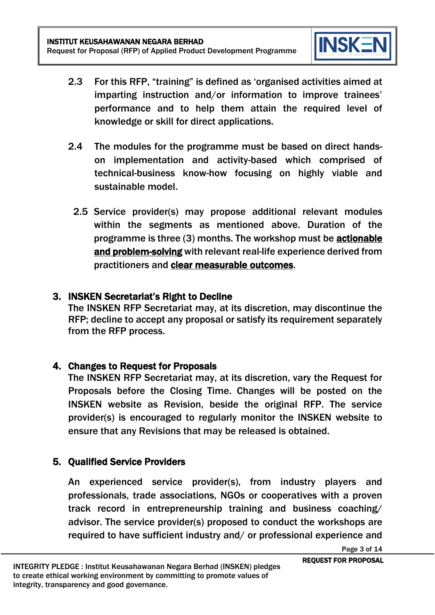

- 2.3 For this RFP, "training" is defined as 'organised activities aimed at imparting instruction and/or information to improve trainees' performance and to help them attain the required level of knowledge or skill for direct applications.
- 2.4 The modules for the programme must be based on direct handson implementation and activity-based which comprised of technical-business know-how focusing on highly viable and sustainable model.
	- 2.5 Service provider(s) may propose additional relevant modules within the segments as mentioned above. Duration of the programme is three (3) months. The workshop must be actionable and problem-solving with relevant real-life experience derived from practitioners and clear measurable outcomes.

#### 3. INSKEN Secretariat's Right to Decline

The INSKEN RFP Secretariat may, at its discretion, may discontinue the RFP; decline to accept any proposal or satisfy its requirement separately from the RFP process.

## 4. Changes to Request for Proposals

The INSKEN RFP Secretariat may, at its discretion, vary the Request for Proposals before the Closing Time. Changes will be posted on the INSKEN website as Revision, beside the original RFP. The service provider(s) is encouraged to regularly monitor the INSKEN website to ensure that any Revisions that may be released is obtained.

# 5. Qualified Service Providers

An experienced service provider(s), from industry players and professionals, trade associations, NGOs or cooperatives with a proven track record in entrepreneurship training and business coaching/ advisor. The service provider(s) proposed to conduct the workshops are required to have sufficient industry and/ or professional experience and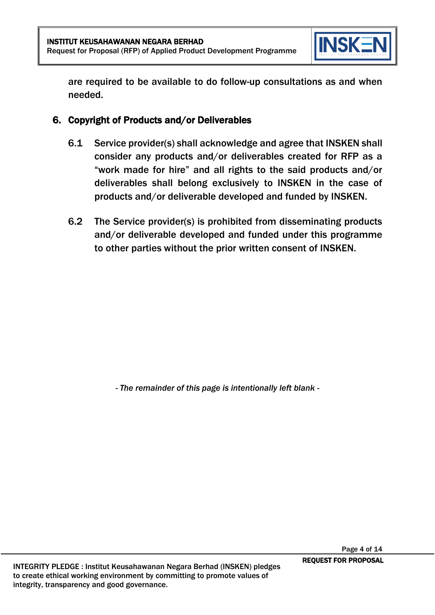

are required to be available to do follow-up consultations as and when needed.

## 6. Copyright of Products and/or Deliverables

- 6.1 Service provider(s) shall acknowledge and agree that INSKEN shall consider any products and/or deliverables created for RFP as a "work made for hire" and all rights to the said products and/or deliverables shall belong exclusively to INSKEN in the case of products and/or deliverable developed and funded by INSKEN.
- 6.2 The Service provider(s) is prohibited from disseminating products and/or deliverable developed and funded under this programme to other parties without the prior written consent of INSKEN.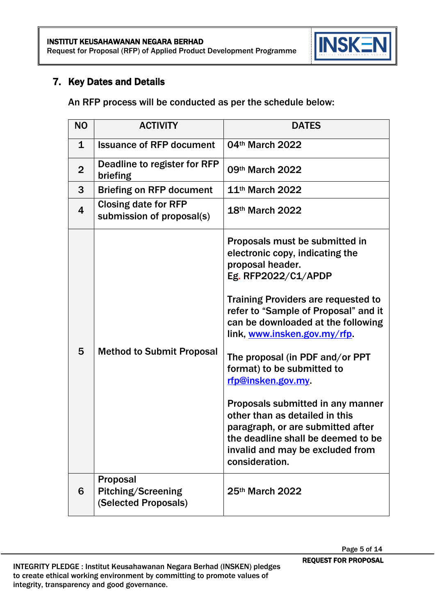

## 7. Key Dates and Details

An RFP process will be conducted as per the schedule below:

| <b>NO</b>               | <b>ACTIVITY</b>                                          | <b>DATES</b>                                                                                                                                                                                                                                                                                                                                                                                                                                                                                                                                                           |
|-------------------------|----------------------------------------------------------|------------------------------------------------------------------------------------------------------------------------------------------------------------------------------------------------------------------------------------------------------------------------------------------------------------------------------------------------------------------------------------------------------------------------------------------------------------------------------------------------------------------------------------------------------------------------|
| $\mathbf 1$             | <b>Issuance of RFP document</b>                          | 04th March 2022                                                                                                                                                                                                                                                                                                                                                                                                                                                                                                                                                        |
| $\overline{2}$          | Deadline to register for RFP<br>briefing                 | 09th March 2022                                                                                                                                                                                                                                                                                                                                                                                                                                                                                                                                                        |
| 3                       | <b>Briefing on RFP document</b>                          | 11 <sup>th</sup> March 2022                                                                                                                                                                                                                                                                                                                                                                                                                                                                                                                                            |
| $\overline{\mathbf{4}}$ | <b>Closing date for RFP</b><br>submission of proposal(s) | 18th March 2022                                                                                                                                                                                                                                                                                                                                                                                                                                                                                                                                                        |
| 5                       | <b>Method to Submit Proposal</b>                         | Proposals must be submitted in<br>electronic copy, indicating the<br>proposal header.<br>Eg. RFP2022/C1/APDP<br><b>Training Providers are requested to</b><br>refer to "Sample of Proposal" and it<br>can be downloaded at the following<br>link, www.insken.gov.my/rfp.<br>The proposal (in PDF and/or PPT<br>format) to be submitted to<br>rfp@insken.gov.my<br>Proposals submitted in any manner<br>other than as detailed in this<br>paragraph, or are submitted after<br>the deadline shall be deemed to be<br>invalid and may be excluded from<br>consideration. |
| 6                       | Proposal<br>Pitching/Screening<br>(Selected Proposals)   | 25th March 2022                                                                                                                                                                                                                                                                                                                                                                                                                                                                                                                                                        |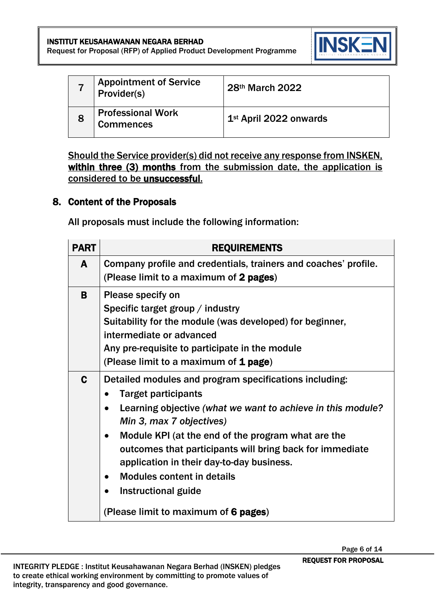

|   | <b>Appointment of Service</b><br>Provider(s) | 28th March 2022                    |
|---|----------------------------------------------|------------------------------------|
| 8 | <b>Professional Work</b><br><b>Commences</b> | 1 <sup>st</sup> April 2022 onwards |

Should the Service provider(s) did not receive any response from INSKEN, within three (3) months from the submission date, the application is considered to be unsuccessful.

#### 8. Content of the Proposals

All proposals must include the following information:

| <b>PART</b> | <b>REQUIREMENTS</b>                                                                                                                                                                                                                                                                                                                                                                                                                                             |
|-------------|-----------------------------------------------------------------------------------------------------------------------------------------------------------------------------------------------------------------------------------------------------------------------------------------------------------------------------------------------------------------------------------------------------------------------------------------------------------------|
| A           | Company profile and credentials, trainers and coaches' profile.<br>(Please limit to a maximum of 2 pages)                                                                                                                                                                                                                                                                                                                                                       |
| B           | Please specify on<br>Specific target group / industry<br>Suitability for the module (was developed) for beginner,<br>intermediate or advanced<br>Any pre-requisite to participate in the module<br>(Please limit to a maximum of 1 page)                                                                                                                                                                                                                        |
| C           | Detailed modules and program specifications including:<br><b>Target participants</b><br>Learning objective (what we want to achieve in this module?<br>Min 3, max 7 objectives)<br>Module KPI (at the end of the program what are the<br>outcomes that participants will bring back for immediate<br>application in their day-to-day business.<br><b>Modules content in details</b><br>Instructional guide<br>$\bullet$<br>(Please limit to maximum of 6 pages) |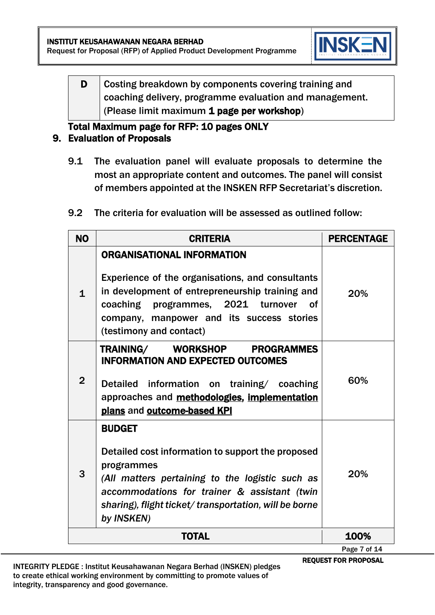

D Costing breakdown by components covering training and coaching delivery, programme evaluation and management. (Please limit maximum 1 page per workshop)

# Total Maximum page for RFP: 10 pages ONLY

#### 9. Evaluation of Proposals

- 9.1 The evaluation panel will evaluate proposals to determine the most an appropriate content and outcomes. The panel will consist of members appointed at the INSKEN RFP Secretariat's discretion.
- 9.2 The criteria for evaluation will be assessed as outlined follow:

| <b>NO</b>      | <b>CRITERIA</b>                                                                                                                                                                                                                                                     | <b>PERCENTAGE</b> |
|----------------|---------------------------------------------------------------------------------------------------------------------------------------------------------------------------------------------------------------------------------------------------------------------|-------------------|
| $\mathbf{1}$   | <b>ORGANISATIONAL INFORMATION</b><br>Experience of the organisations, and consultants<br>in development of entrepreneurship training and<br>coaching programmes, 2021 turnover<br><b>of</b><br>company, manpower and its success stories<br>(testimony and contact) | <b>20%</b>        |
| $\overline{2}$ | TRAINING/ WORKSHOP PROGRAMMES<br><b>INFORMATION AND EXPECTED OUTCOMES</b><br><b>Detailed</b><br>information on training/ coaching<br>approaches and methodologies, implementation<br>plans and outcome-based KPI                                                    | 60%               |
| 3              | <b>BUDGET</b><br>Detailed cost information to support the proposed<br>programmes<br>(All matters pertaining to the logistic such as<br>accommodations for trainer & assistant (twin<br>sharing), flight ticket/transportation, will be borne<br>by INSKEN)          | 20%               |
|                | <b>TOTAL</b>                                                                                                                                                                                                                                                        | 100%              |

REQUEST FOR PROPOSAL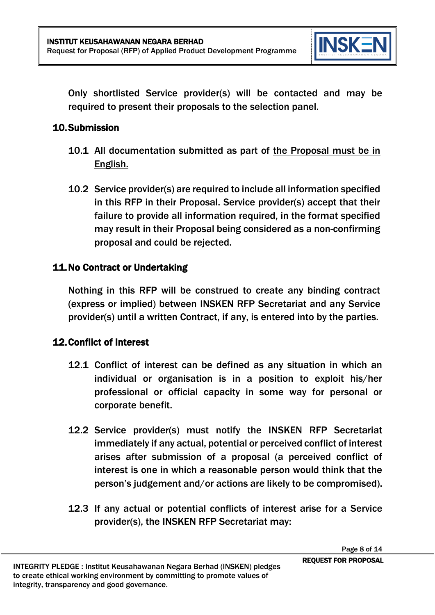

Only shortlisted Service provider(s) will be contacted and may be required to present their proposals to the selection panel.

## 10.Submission

- 10.1 All documentation submitted as part of the Proposal must be in English.
- 10.2 Service provider(s) are required to include all information specified in this RFP in their Proposal. Service provider(s) accept that their failure to provide all information required, in the format specified may result in their Proposal being considered as a non-confirming proposal and could be rejected.

## 11.No Contract or Undertaking

Nothing in this RFP will be construed to create any binding contract (express or implied) between INSKEN RFP Secretariat and any Service provider(s) until a written Contract, if any, is entered into by the parties.

#### 12.Conflict of Interest

- 12.1 Conflict of interest can be defined as any situation in which an individual or organisation is in a position to exploit his/her professional or official capacity in some way for personal or corporate benefit.
- 12.2 Service provider(s) must notify the INSKEN RFP Secretariat immediately if any actual, potential or perceived conflict of interest arises after submission of a proposal (a perceived conflict of interest is one in which a reasonable person would think that the person's judgement and/or actions are likely to be compromised).
- 12.3 If any actual or potential conflicts of interest arise for a Service provider(s), the INSKEN RFP Secretariat may: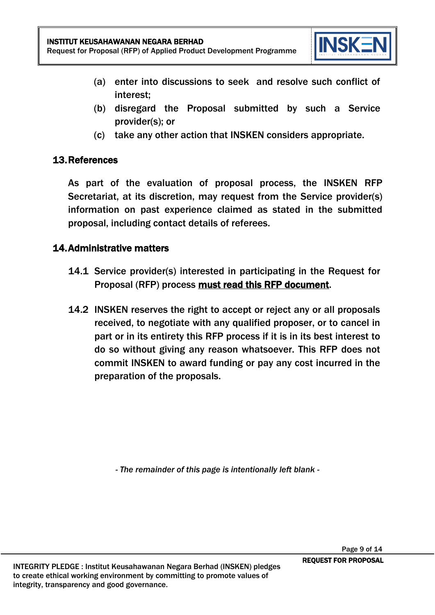

- (a) enter into discussions to seek and resolve such conflict of interest;
- (b) disregard the Proposal submitted by such a Service provider(s); or
- (c) take any other action that INSKEN considers appropriate.

## 13.References

As part of the evaluation of proposal process, the INSKEN RFP Secretariat, at its discretion, may request from the Service provider(s) information on past experience claimed as stated in the submitted proposal, including contact details of referees.

## 14.Administrative matters

- 14.1 Service provider(s) interested in participating in the Request for Proposal (RFP) process must read this RFP document.
- 14.2 INSKEN reserves the right to accept or reject any or all proposals received, to negotiate with any qualified proposer, or to cancel in part or in its entirety this RFP process if it is in its best interest to do so without giving any reason whatsoever. This RFP does not commit INSKEN to award funding or pay any cost incurred in the preparation of the proposals.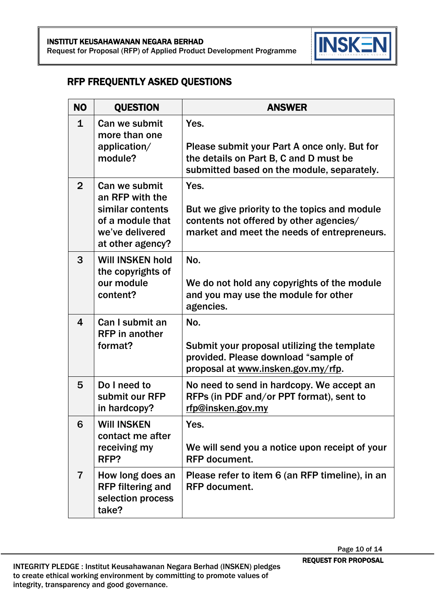

## RFP FREQUENTLY ASKED QUESTIONS

| <b>NO</b>      | <b>QUESTION</b>                                                                                                 | <b>ANSWER</b>                                                                                                                                   |
|----------------|-----------------------------------------------------------------------------------------------------------------|-------------------------------------------------------------------------------------------------------------------------------------------------|
| $\mathbf{1}$   | Can we submit<br>more than one<br>application/<br>module?                                                       | Yes.<br>Please submit your Part A once only. But for<br>the details on Part B, C and D must be<br>submitted based on the module, separately.    |
| $\overline{2}$ | Can we submit<br>an RFP with the<br>similar contents<br>of a module that<br>we've delivered<br>at other agency? | Yes.<br>But we give priority to the topics and module<br>contents not offered by other agencies/<br>market and meet the needs of entrepreneurs. |
| 3              | <b>Will INSKEN hold</b><br>the copyrights of<br>our module<br>content?                                          | No.<br>We do not hold any copyrights of the module<br>and you may use the module for other<br>agencies.                                         |
| 4              | Can I submit an<br><b>RFP</b> in another<br>format?                                                             | No.<br>Submit your proposal utilizing the template<br>provided. Please download "sample of<br>proposal at www.insken.gov.my/rfp.                |
| 5              | Do I need to<br>submit our RFP<br>in hardcopy?                                                                  | No need to send in hardcopy. We accept an<br>RFPs (in PDF and/or PPT format), sent to<br>rfp@insken.gov.my                                      |
| 6              | <b>Will INSKEN</b><br>contact me after<br>receiving my<br>RFP?                                                  | <b>Yes</b><br>We will send you a notice upon receipt of your<br><b>RFP</b> document.                                                            |
| 7              | How long does an<br><b>RFP filtering and</b><br>selection process<br>take?                                      | Please refer to item 6 (an RFP timeline), in an<br><b>RFP</b> document.                                                                         |

REQUEST FOR PROPOSAL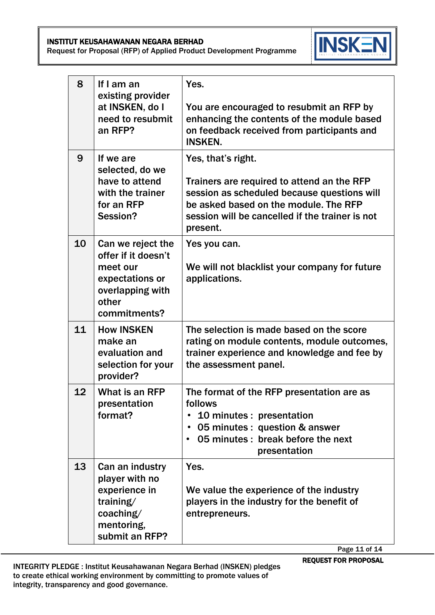INSTITUT KEUSAHAWANAN NEGARA BERHAD Request for Proposal (RFP) of Applied Product Development Programme



| 8  | If I am an<br>existing provider<br>at INSKEN, do I<br>need to resubmit<br>an RFP?                                    | Yes.<br>You are encouraged to resubmit an RFP by<br>enhancing the contents of the module based<br>on feedback received from participants and<br><b>INSKEN.</b>                                                          |
|----|----------------------------------------------------------------------------------------------------------------------|-------------------------------------------------------------------------------------------------------------------------------------------------------------------------------------------------------------------------|
| 9  | If we are<br>selected, do we<br>have to attend<br>with the trainer<br>for an RFP<br>Session?                         | Yes, that's right.<br>Trainers are required to attend an the RFP<br>session as scheduled because questions will<br>be asked based on the module. The RFP<br>session will be cancelled if the trainer is not<br>present. |
| 10 | Can we reject the<br>offer if it doesn't<br>meet our<br>expectations or<br>overlapping with<br>other<br>commitments? | Yes you can.<br>We will not blacklist your company for future<br>applications.                                                                                                                                          |
| 11 | <b>How INSKEN</b><br>make an<br>evaluation and<br>selection for your<br>provider?                                    | The selection is made based on the score<br>rating on module contents, module outcomes,<br>trainer experience and knowledge and fee by<br>the assessment panel.                                                         |
| 12 | What is an RFP<br>presentation<br>format?                                                                            | The format of the RFP presentation are as<br>follows<br>10 minutes : presentation<br>05 minutes : question & answer<br>$\bullet$<br>05 minutes : break before the next<br>presentation                                  |
| 13 | Can an industry<br>player with no<br>experience in<br>training/<br>coaching/<br>mentoring,<br>submit an RFP?         | Yes.<br>We value the experience of the industry<br>players in the industry for the benefit of<br>entrepreneurs.                                                                                                         |

REQUEST FOR PROPOSAL